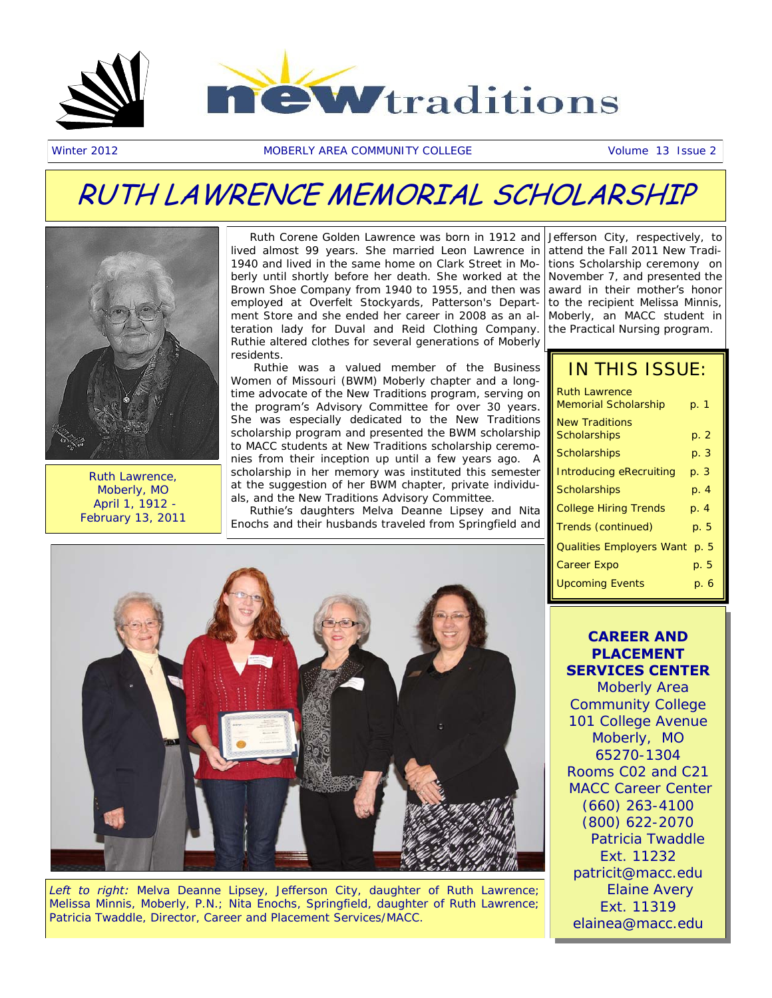

Winter 2012 MOBERLY AREA COMMUNITY COLLEGE Volume 13 Issue 2

### RUTH LAWRENCE MEMORIAL SCHOLARSHIP



Ruth Lawrence, Moberly, MO April 1, 1912 - February 13, 2011

 Ruth Corene Golden Lawrence was born in 1912 and Jefferson City, respectively, to lived almost 99 years. She married Leon Lawrence in 1940 and lived in the same home on Clark Street in Moberly until shortly before her death. She worked at the Brown Shoe Company from 1940 to 1955, and then was employed at Overfelt Stockyards, Patterson's Department Store and she ended her career in 2008 as an alteration lady for Duval and Reid Clothing Company. Ruthie altered clothes for several generations of Moberly residents.

 Ruthie was a valued member of the Business Women of Missouri (BWM) Moberly chapter and a longtime advocate of the New Traditions program, serving on the program's Advisory Committee for over 30 years. She was especially dedicated to the New Traditions scholarship program and presented the BWM scholarship to MACC students at New Traditions scholarship ceremonies from their inception up until a few years ago. A scholarship in her memory was instituted this semester at the suggestion of her BWM chapter, private individuals, and the New Traditions Advisory Committee.

 Ruthie's daughters Melva Deanne Lipsey and Nita Enochs and their husbands traveled from Springfield and

attend the Fall 2011 New Traditions Scholarship ceremony on November 7, and presented the award in their mother's honor to the recipient Melissa Minnis, Moberly, an MACC student in the Practical Nursing program.

### IN THIS ISSUE:

| <b>Ruth Lawrence</b><br>Memorial Scholarship | p. 1 |
|----------------------------------------------|------|
| New Traditions<br>Scholarships               | p. 2 |
| Scholarships                                 | p. 3 |
| Introducing eRecruiting                      | p. 3 |
| Scholarships                                 | p. 4 |
| <b>College Hiring Trends</b>                 | p. 4 |
| Trends (continued)                           | p. 5 |
| Qualities Employers Want                     | p. 5 |
| Career Expo                                  | p. 5 |
| <b>Upcoming Events</b>                       | р. 6 |
|                                              |      |



*Left to right:* Melva Deanne Lipsey, Jefferson City, daughter of Ruth Lawrence; Melissa Minnis, Moberly, P.N.; Nita Enochs, Springfield, daughter of Ruth Lawrence; Patricia Twaddle, Director, Career and Placement Services/MACC.

### **CAREER AND PLACEMENT SERVICES CENTER**

 Moberly Area Community College 101 College Avenue Moberly, MO 65270-1304 Rooms C02 and C21 MACC Career Center (660) 263-4100 (800) 622-2070 Patricia Twaddle Ext. 11232 patricit@macc.edu Elaine Avery Ext. 11319 elainea@macc.edu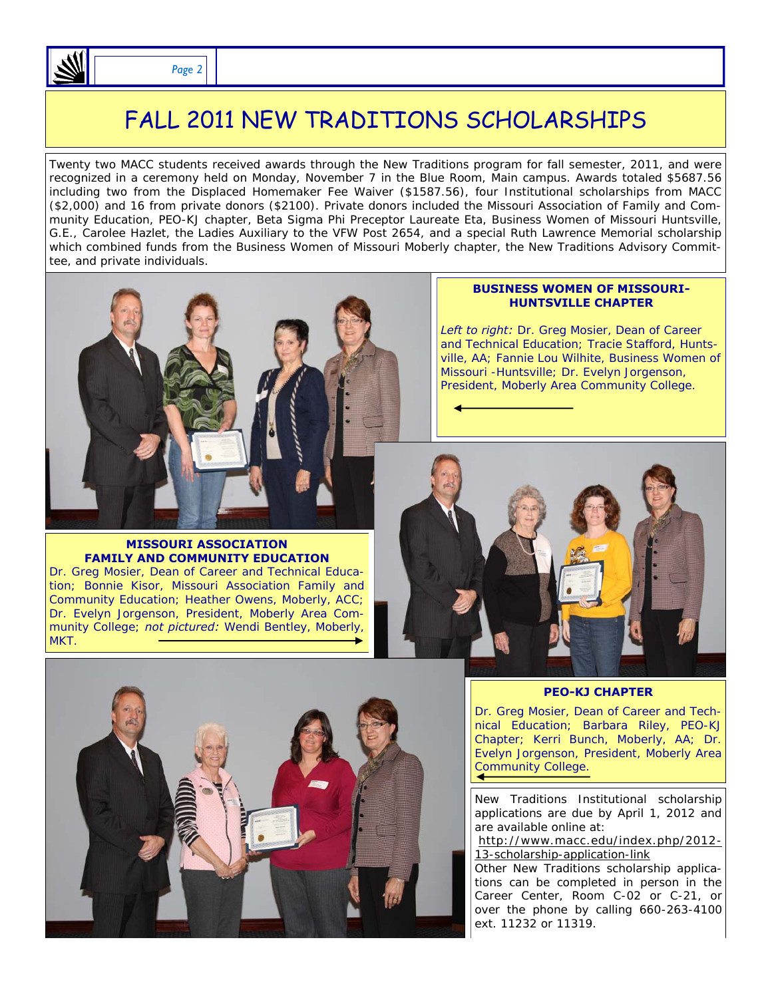

### FALL 2011 NEW TRADITIONS SCHOLARSHIPS

Twenty two MACC students received awards through the New Traditions program for fall semester, 2011, and were recognized in a ceremony held on Monday, November 7 in the Blue Room, Main campus. Awards totaled \$5687.56 including two from the Displaced Homemaker Fee Waiver (\$1587.56), four Institutional scholarships from MACC (\$2,000) and 16 from private donors (\$2100). Private donors included the Missouri Association of Family and Community Education, PEO-KJ chapter, Beta Sigma Phi Preceptor Laureate Eta, Business Women of Missouri Huntsville, G.E., Carolee Hazlet, the Ladies Auxiliary to the VFW Post 2654, and a special Ruth Lawrence Memorial scholarship which combined funds from the Business Women of Missouri Moberly chapter, the New Traditions Advisory Committee, and private individuals.



#### **MISSOURI ASSOCIATION FAMILY AND COMMUNITY EDUCATION**

Dr. Greg Mosier, Dean of Career and Technical Education; Bonnie Kisor, Missouri Association Family and Community Education; Heather Owens, Moberly, ACC; Dr. Evelyn Jorgenson, President, Moberly Area Community College; *not pictured:* Wendi Bentley, Moberly, MKT.

#### **BUSINESS WOMEN OF MISSOURI-HUNTSVILLE CHAPTER**

*Left to right:* Dr. Greg Mosier, Dean of Career and Technical Education; Tracie Stafford, Huntsville, AA; Fannie Lou Wilhite, Business Women of Missouri -Huntsville; Dr. Evelyn Jorgenson, President, Moberly Area Community College.





#### **PEO-KJ CHAPTER**

Dr. Greg Mosier, Dean of Career and Technical Education; Barbara Riley, PEO-KJ Chapter; Kerri Bunch, Moberly, AA; Dr. Evelyn Jorgenson, President, Moberly Area Community College.

New Traditions Institutional scholarship applications are due by April 1, 2012 and are available online at:

[http://www.macc.edu/index.php/2012-](http://www.macc.edu/index.php/2012-13-scholarship-application-link) [13-scholarship-application-link](http://www.macc.edu/index.php/2012-13-scholarship-application-link)

Other New Traditions scholarship applications can be completed in person in the Career Center, Room C-02 or C-21, or over the phone by calling 660-263-4100 ext. 11232 or 11319.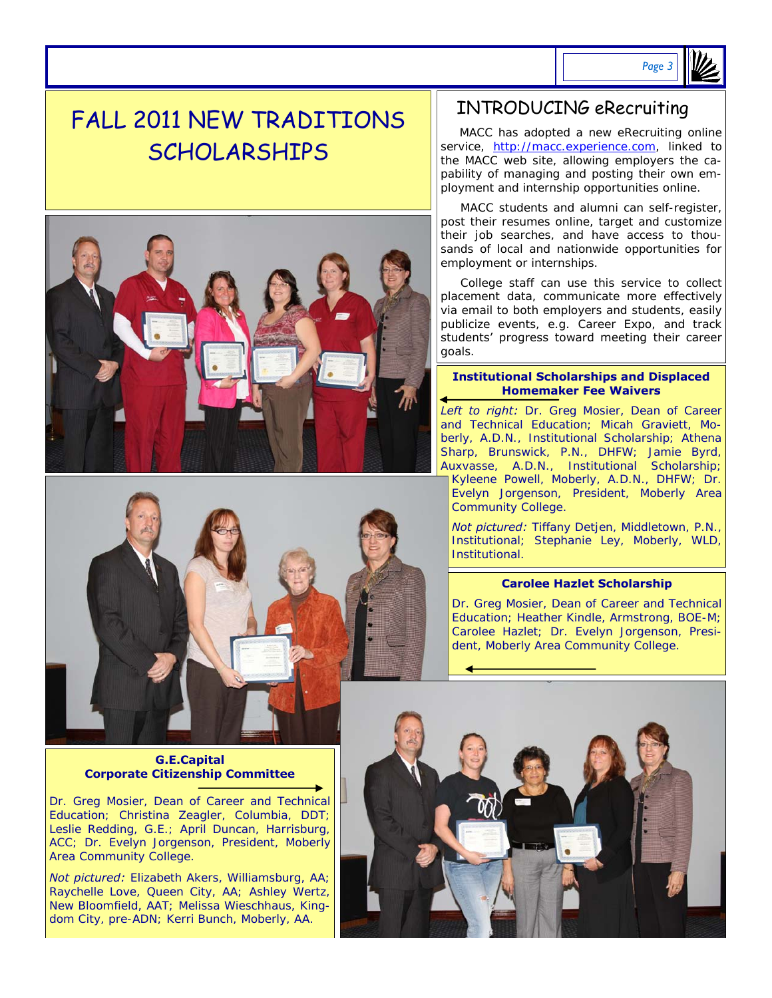

### FALL 2011 NEW TRADITIONS SCHOLARSHIPS





### **G.E.Capital Corporate Citizenship Committee**

Dr. Greg Mosier, Dean of Career and Technical Education; Christina Zeagler, Columbia, DDT; Leslie Redding, G.E.; April Duncan, Harrisburg, ACC; Dr. Evelyn Jorgenson, President, Moberly Area Community College.

*Not pictured:* Elizabeth Akers, Williamsburg, AA; Raychelle Love, Queen City, AA; Ashley Wertz, New Bloomfield, AAT; Melissa Wieschhaus, Kingdom City, pre-ADN; Kerri Bunch, Moberly, AA.

### INTRODUCING eRecruiting

 MACC has adopted a new eRecruiting online service, [http://macc.experience.com,](http://macc.experience.com/) linked to the MACC web site, allowing employers the capability of managing and posting their own employment and internship opportunities online.

 MACC students and alumni can self-register, post their resumes online, target and customize their job searches, and have access to thousands of local and nationwide opportunities for employment or internships.

 College staff can use this service to collect placement data, communicate more effectively via email to both employers and students, easily publicize events, e.g. Career Expo, and track students' progress toward meeting their career goals.

### **Institutional Scholarships and Displaced Homemaker Fee Waivers**

*Left to right:* Dr. Greg Mosier, Dean of Career and Technical Education; Micah Graviett, Moberly, A.D.N., Institutional Scholarship; Athena Sharp, Brunswick, P.N., DHFW; Jamie Byrd, Auxvasse, A.D.N., Institutional Scholarship; Kyleene Powell, Moberly, A.D.N., DHFW; Dr. Evelyn Jorgenson, President, Moberly Area Community College.

*Not pictured:* Tiffany Detjen, Middletown, P.N., Institutional; Stephanie Ley, Moberly, WLD, Institutional.

### **Carolee Hazlet Scholarship**

Dr. Greg Mosier, Dean of Career and Technical Education; Heather Kindle, Armstrong, BOE-M; Carolee Hazlet; Dr. Evelyn Jorgenson, President, Moberly Area Community College.

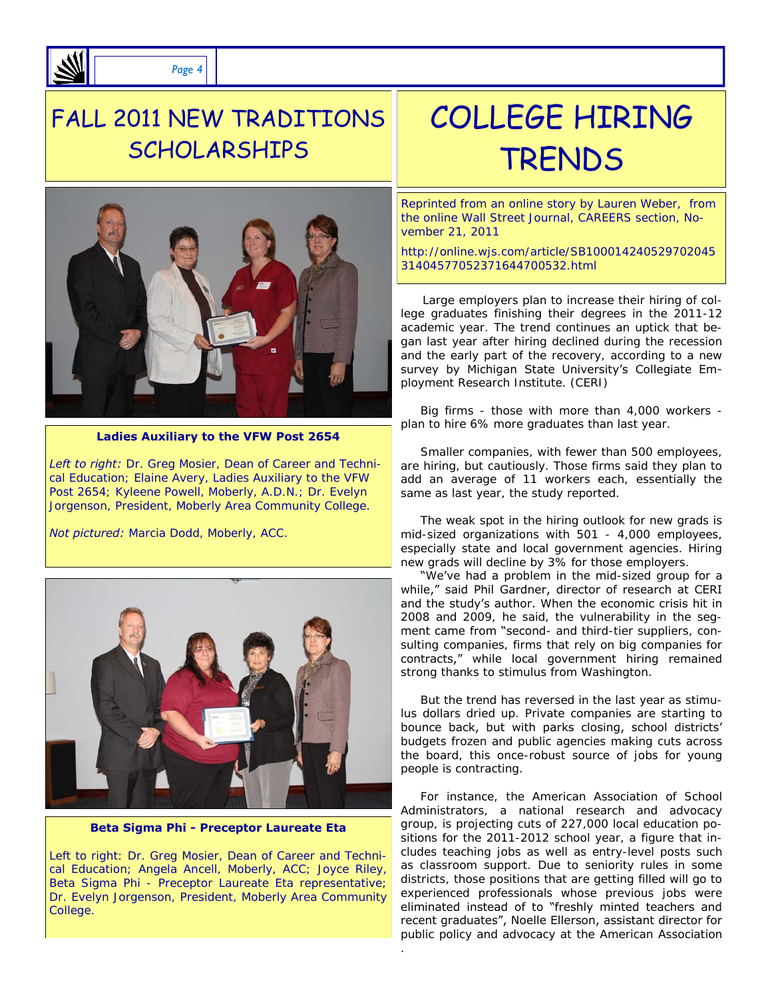

*Page 4* 

### FALL 2011 NEW TRADITIONS SCHOLARSHIPS



**Ladies Auxiliary to the VFW Post 2654** 

*Left to right:* Dr. Greg Mosier, Dean of Career and Technical Education; Elaine Avery, Ladies Auxiliary to the VFW Post 2654; Kyleene Powell, Moberly, A.D.N.; Dr. Evelyn Jorgenson, President, Moberly Area Community College.

*Not pictured:* Marcia Dodd, Moberly, ACC.



**Beta Sigma Phi - Preceptor Laureate Eta** 

Left to right: Dr. Greg Mosier, Dean of Career and Technical Education; Angela Ancell, Moberly, ACC; Joyce Riley, Beta Sigma Phi - Preceptor Laureate Eta representative; Dr. Evelyn Jorgenson, President, Moberly Area Community College.

## COLLEGE HIRING TRENDS

Reprinted from an online story by Lauren Weber, from the online Wall Street Journal, CAREERS section, November 21, 2011

http://online.wjs.com/article/SB100014240529702045 31404577052371644700532.html

 Large employers plan to increase their hiring of college graduates finishing their degrees in the 2011-12 academic year. The trend continues an uptick that began last year after hiring declined during the recession and the early part of the recovery, according to a new survey by Michigan State University's Collegiate Employment Research Institute. (CERI)

 Big firms - those with more than 4,000 workers plan to hire 6% more graduates than last year.

 Smaller companies, with fewer than 500 employees, are hiring, but cautiously. Those firms said they plan to add an average of 11 workers each, essentially the same as last year, the study reported.

 The weak spot in the hiring outlook for new grads is mid-sized organizations with 501 - 4,000 employees, especially state and local government agencies. Hiring new grads will decline by 3% for those employers.

"We've had a problem in the mid-sized group for a while," said Phil Gardner, director of research at CERI and the study's author. When the economic crisis hit in 2008 and 2009, he said, the vulnerability in the segment came from "second- and third-tier suppliers, consulting companies, firms that rely on big companies for contracts," while local government hiring remained strong thanks to stimulus from Washington.

 But the trend has reversed in the last year as stimulus dollars dried up. Private companies are starting to bounce back, but with parks closing, school districts' budgets frozen and public agencies making cuts across the board, this once-robust source of jobs for young people is contracting.

 For instance, the American Association of School Administrators, a national research and advocacy group, is projecting cuts of 227,000 local education positions for the 2011-2012 school year, a figure that includes teaching jobs as well as entry-level posts such as classroom support. Due to seniority rules in some districts, those positions that are getting filled will go to experienced professionals whose previous jobs were eliminated instead of to "freshly minted teachers and recent graduates", Noelle Ellerson, assistant director for public policy and advocacy at the American Association

.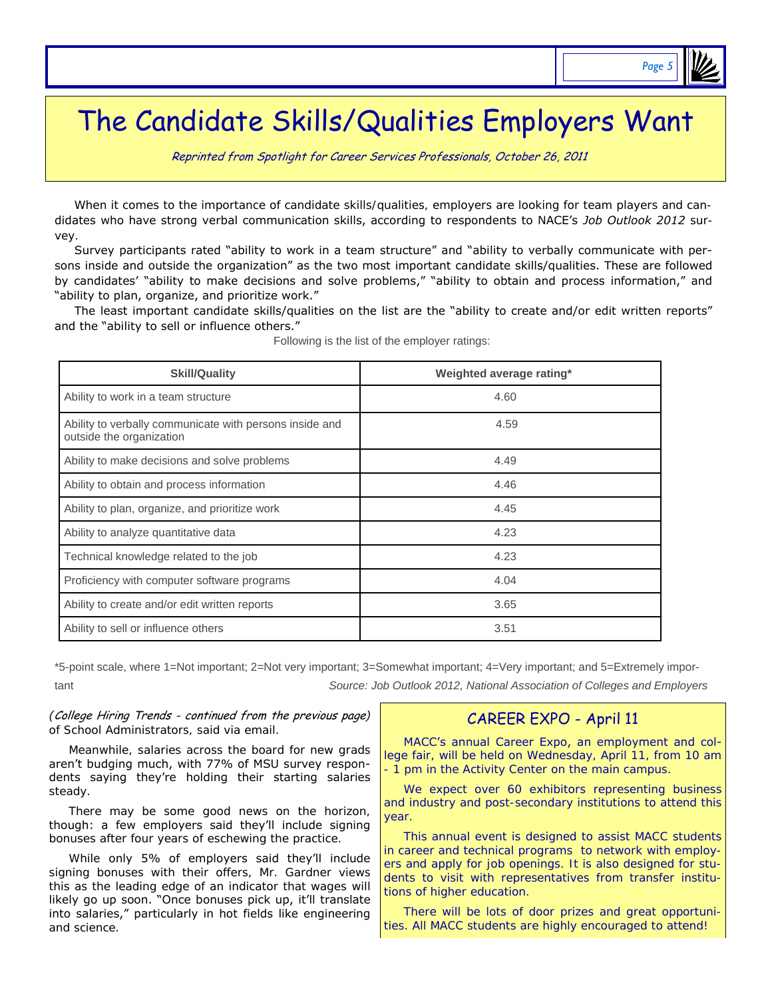### *Page 5*

## The Candidate Skills/Qualities Employers Want

Reprinted from [Spotlight for Career Services Professionals, October 26, 2011](http://www.naceweb.org/spotlightonline/)

 When it comes to the importance of candidate skills/qualities, employers are looking for team players and candidates who have strong verbal communication skills, according to respondents to NACE's *Job Outlook 2012* survey.

 Survey participants rated "ability to work in a team structure" and "ability to verbally communicate with persons inside and outside the organization" as the two most important candidate skills/qualities. These are followed by candidates' "ability to make decisions and solve problems," "ability to obtain and process information," and "ability to plan, organize, and prioritize work."

 The least important candidate skills/qualities on the list are the "ability to create and/or edit written reports" and the "ability to sell or influence others."

| <b>Skill/Quality</b>                                                                | Weighted average rating* |  |  |
|-------------------------------------------------------------------------------------|--------------------------|--|--|
| Ability to work in a team structure                                                 | 4.60                     |  |  |
| Ability to verbally communicate with persons inside and<br>outside the organization | 4.59                     |  |  |
| Ability to make decisions and solve problems                                        | 4.49                     |  |  |
| Ability to obtain and process information                                           | 4.46                     |  |  |
| Ability to plan, organize, and prioritize work                                      | 4.45                     |  |  |
| Ability to analyze quantitative data                                                | 4.23                     |  |  |
| Technical knowledge related to the job                                              | 4.23                     |  |  |
| Proficiency with computer software programs                                         | 4.04                     |  |  |
| Ability to create and/or edit written reports                                       | 3.65                     |  |  |
| Ability to sell or influence others                                                 | 3.51                     |  |  |

| Following is the list of the employer ratings: |  |  |  |  |  |
|------------------------------------------------|--|--|--|--|--|
|------------------------------------------------|--|--|--|--|--|

\*5-point scale, where 1=Not important; 2=Not very important; 3=Somewhat important; 4=Very important; and 5=Extremely important *Source: Job Outlook 2012, National Association of Colleges and Employers* 

*(*College Hiring Trends - continued from the previous page*)*  of School Administrators, said via email.

 Meanwhile, salaries across the board for new grads aren't budging much, with 77% of MSU survey respondents saying they're holding their starting salaries steady.

 There may be some good news on the horizon, though: a few employers said they'll include signing bonuses after four years of eschewing the practice.

 While only 5% of employers said they'll include signing bonuses with their offers, Mr. Gardner views this as the leading edge of an indicator that wages will likely go up soon. "Once bonuses pick up, it'll translate into salaries," particularly in hot fields like engineering and science.

### CAREER EXPO - April 11

 MACC's annual Career Expo, an employment and college fair, will be held on Wednesday, April 11, from 10 am 1 pm in the Activity Center on the main campus.

We expect over 60 exhibitors representing business and industry and post-secondary institutions to attend this year.

 This annual event is designed to assist MACC students in career and technical programs to network with employers and apply for job openings. It is also designed for students to visit with representatives from transfer institutions of higher education.

 There will be lots of door prizes and great opportunities. All MACC students are highly encouraged to attend!